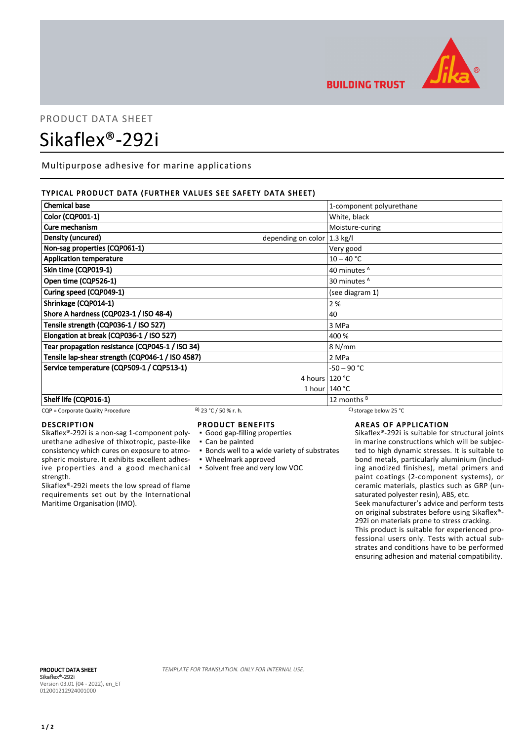

## **BUILDING TRUST**

# PRODUCT DATA SHEET Sikaflex®-292i

Multipurpose adhesive for marine applications

#### TYPICAL PRODUCT DATA (FURTHER VALUES SEE SAFETY DATA SHEET)

| <b>Chemical base</b>                                        | 1-component polyurethane |
|-------------------------------------------------------------|--------------------------|
| <b>Color (CQP001-1)</b>                                     | White, black             |
| Cure mechanism                                              | Moisture-curing          |
| Density (uncured)<br>depending on color $ 1.3 \text{ kg}/I$ |                          |
| Non-sag properties (CQP061-1)                               | Very good                |
| <b>Application temperature</b>                              | $10 - 40 °C$             |
| Skin time (CQP019-1)                                        | 40 minutes A             |
| Open time (CQP526-1)                                        | 30 minutes <sup>A</sup>  |
| Curing speed (CQP049-1)                                     | (see diagram 1)          |
| Shrinkage (CQP014-1)                                        | 2%                       |
| Shore A hardness (CQP023-1 / ISO 48-4)                      | 40                       |
| Tensile strength (CQP036-1 / ISO 527)                       | 3 MPa                    |
| Elongation at break (CQP036-1 / ISO 527)                    | 400 %                    |
| Tear propagation resistance (CQP045-1 / ISO 34)             | 8 N/mm                   |
| Tensile lap-shear strength (CQP046-1 / ISO 4587)            | 2 MPa                    |
| Service temperature (CQP509-1 / CQP513-1)                   | $-50 - 90 °C$            |
|                                                             | 4 hours $120 °C$         |
|                                                             | 1 hour $140 °C$          |
| Shelf life (CQP016-1)                                       | 12 months $B$            |

#### CQP = Corporate Quality Procedure B) 23 °C / 50 % r. h. C) storage below 25 °C

#### DESCRIPTION

Sikaflex®-292i is a non-sag 1-component polyurethane adhesive of thixotropic, paste-like consistency which cures on exposure to atmospheric moisture. It exhibits excellent adhesive properties and a good mechanical strength.

Sikaflex®-292i meets the low spread of flame requirements set out by the International Maritime Organisation (IMO).

#### PRODUCT BENEFITS

- Good gap-filling properties
- Can be painted
- **Bonds well to a wide variety of substrates**
- Wheelmark approved
- Solvent free and very low VOC

### AREAS OF APPLICATION

Sikaflex®-292i is suitable for structural joints in marine constructions which will be subjected to high dynamic stresses. It is suitable to bond metals, particularly aluminium (including anodized finishes), metal primers and paint coatings (2-component systems), or ceramic materials, plastics such as GRP (unsaturated polyester resin), ABS, etc. Seek manufacturer's advice and perform tests

on original substrates before using Sikaflex®- 292i on materials prone to stress cracking.

This product is suitable for experienced professional users only. Tests with actual substrates and conditions have to be performed ensuring adhesion and material compatibility.